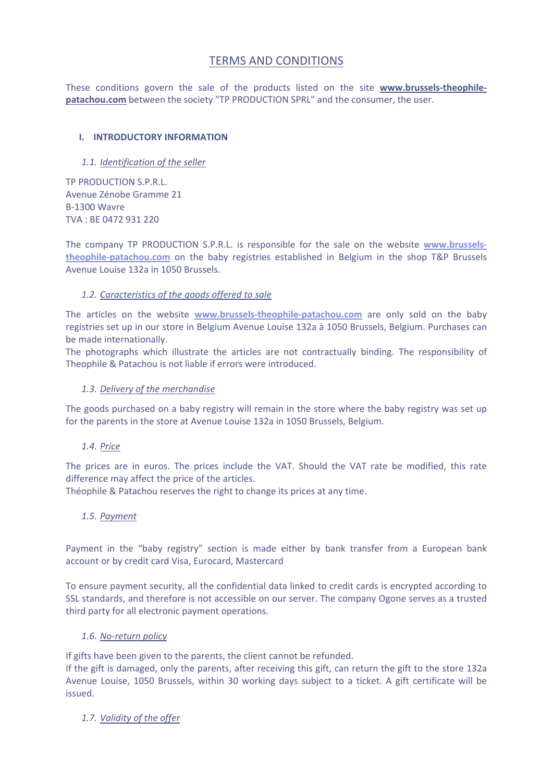# TERMS AND CONDITIONS

These conditions govern the sale of the products listed on the site **www.brussels‐theophile‐ patachou.com** between the society "TP PRODUCTION SPRL" and the consumer, the user.

# **I. INTRODUCTORY INFORMATION**

# *1.1. Identification of the seller*

TP PRODUCTION S.P.R.L. Avenue Zénobe Gramme 21 B‐1300 Wavre TVA : BE 0472 931 220

The company TP PRODUCTION S.P.R.L. is responsible for the sale on the website **www.brussels‐ theophile‐patachou.com** on the baby registries established in Belgium in the shop T&P Brussels Avenue Louise 132a in 1050 Brussels.

# *1.2. Caracteristics of the goods offered to sale*

The articles on the website **www.brussels‐theophile‐patachou.com** are only sold on the baby registries set up in our store in Belgium Avenue Louise 132a à 1050 Brussels, Belgium. Purchases can be made internationally.

The photographs which illustrate the articles are not contractually binding. The responsibility of Theophile & Patachou is not liable if errors were introduced.

### *1.3. Delivery of the merchandise*

The goods purchased on a baby registry will remain in the store where the baby registry was set up for the parents in the store at Avenue Louise 132a in 1050 Brussels, Belgium.

### *1.4. Price*

The prices are in euros. The prices include the VAT. Should the VAT rate be modified, this rate difference may affect the price of the articles.

Théophile & Patachou reserves the right to change its prices at any time.

### *1.5. Payment*

Payment in the "baby registry" section is made either by bank transfer from a European bank account or by credit card Visa, Eurocard, Mastercard

To ensure payment security, all the confidential data linked to credit cards is encrypted according to SSL standards, and therefore is not accessible on our server. The company Ogone serves as a trusted third party for all electronic payment operations.

### *1.6. No‐return policy*

If gifts have been given to the parents, the client cannot be refunded.

If the gift is damaged, only the parents, after receiving this gift, can return the gift to the store 132a Avenue Louise, 1050 Brussels, within 30 working days subject to a ticket. A gift certificate will be issued.

# *1.7. Validity of the offer*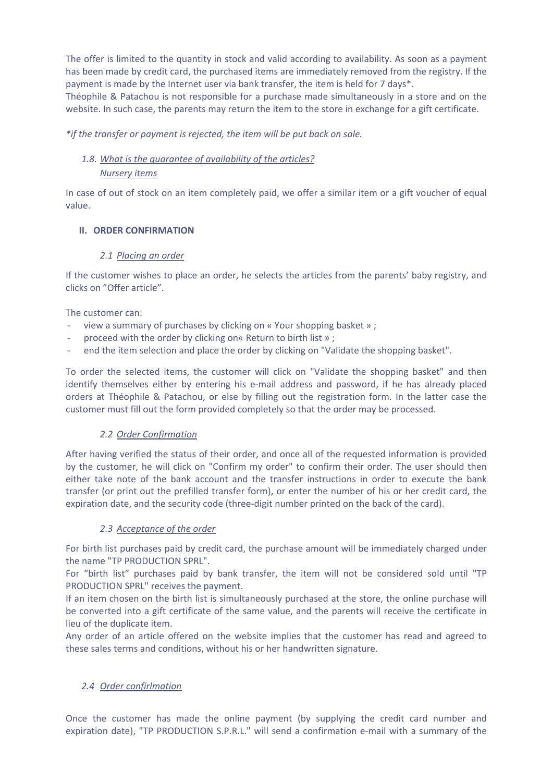The offer is limited to the quantity in stock and valid according to availability. As soon as a payment has been made by credit card, the purchased items are immediately removed from the registry. If the payment is made by the Internet user via bank transfer, the item is held for 7 days\*.

Théophile & Patachou is not responsible for a purchase made simultaneously in a store and on the website. In such case, the parents may return the item to the store in exchange for a gift certificate.

*\*if the transfer or payment is rejected, the item will be put back on sale.*

# *1.8. What is the guarantee of availability of the articles?*

# *Nursery items*

In case of out of stock on an item completely paid, we offer a similar item or a gift voucher of equal value.

# **II. ORDER CONFIRMATION**

# *2.1 Placing an order*

If the customer wishes to place an order, he selects the articles from the parents' baby registry, and clicks on "Offer article".

The customer can:

- ‐ view a summary of purchases by clicking on « Your shopping basket » ;
- ‐ proceed with the order by clicking on« Return to birth list » ;
- end the item selection and place the order by clicking on "Validate the shopping basket".

To order the selected items, the customer will click on "Validate the shopping basket" and then identify themselves either by entering his e-mail address and password, if he has already placed orders at Théophile & Patachou, or else by filling out the registration form. In the latter case the customer must fill out the form provided completely so that the order may be processed.

# *2.2 Order Confirmation*

After having verified the status of their order, and once all of the requested information is provided by the customer, he will click on "Confirm my order" to confirm their order. The user should then either take note of the bank account and the transfer instructions in order to execute the bank transfer (or print out the prefilled transfer form), or enter the number of his or her credit card, the expiration date, and the security code (three-digit number printed on the back of the card).

# *2.3 Acceptance of the order*

For birth list purchases paid by credit card, the purchase amount will be immediately charged under the name "TP PRODUCTION SPRL".

For "birth list" purchases paid by bank transfer, the item will not be considered sold until "TP PRODUCTION SPRL" receives the payment.

If an item chosen on the birth list is simultaneously purchased at the store, the online purchase will be converted into a gift certificate of the same value, and the parents will receive the certificate in lieu of the duplicate item.

Any order of an article offered on the website implies that the customer has read and agreed to these sales terms and conditions, without his or her handwritten signature.

# *2.4 Order confirlmation*

Once the customer has made the online payment (by supplying the credit card number and expiration date), "TP PRODUCTION S.P.R.L." will send a confirmation e-mail with a summary of the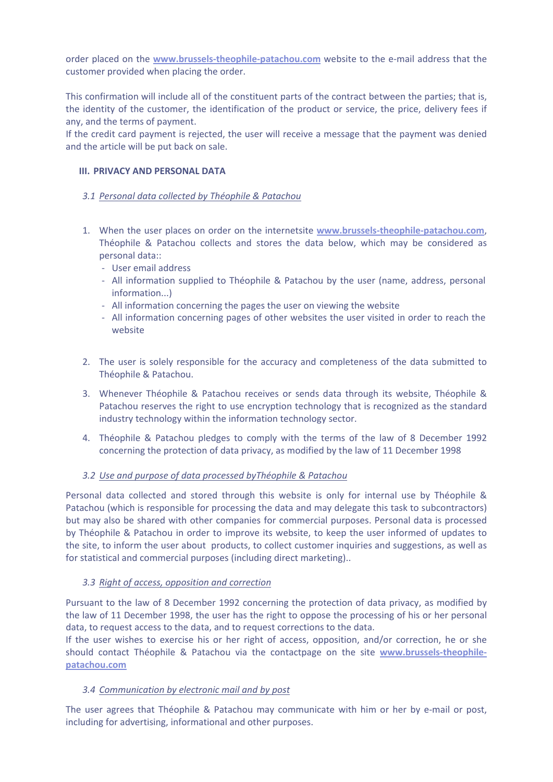order placed on the **www.brussels‐theophile‐patachou.com** website to the e‐mail address that the customer provided when placing the order.

This confirmation will include all of the constituent parts of the contract between the parties; that is, the identity of the customer, the identification of the product or service, the price, delivery fees if any, and the terms of payment.

If the credit card payment is rejected, the user will receive a message that the payment was denied and the article will be put back on sale.

### **III. PRIVACY AND PERSONAL DATA**

#### *3.1 Personal data collected by Théophile & Patachou*

- 1. When the user places on order on the internetsite **www.brussels‐theophile‐patachou.com**, Théophile & Patachou collects and stores the data below, which may be considered as personal data::
	- ‐ User email address
	- ‐ All information supplied to Théophile & Patachou by the user (name, address, personal information...)
	- ‐ All information concerning the pages the user on viewing the website
	- ‐ All information concerning pages of other websites the user visited in order to reach the website
- 2. The user is solely responsible for the accuracy and completeness of the data submitted to Théophile & Patachou.
- 3. Whenever Théophile & Patachou receives or sends data through its website, Théophile & Patachou reserves the right to use encryption technology that is recognized as the standard industry technology within the information technology sector.
- 4. Théophile & Patachou pledges to comply with the terms of the law of 8 December 1992 concerning the protection of data privacy, as modified by the law of 11 December 1998

### *3.2 Use and purpose of data processed byThéophile & Patachou*

Personal data collected and stored through this website is only for internal use by Théophile & Patachou (which is responsible for processing the data and may delegate this task to subcontractors) but may also be shared with other companies for commercial purposes. Personal data is processed by Théophile & Patachou in order to improve its website, to keep the user informed of updates to the site, to inform the user about products, to collect customer inquiries and suggestions, as well as for statistical and commercial purposes (including direct marketing)..

### *3.3 Right of access, opposition and correction*

Pursuant to the law of 8 December 1992 concerning the protection of data privacy, as modified by the law of 11 December 1998, the user has the right to oppose the processing of his or her personal data, to request access to the data, and to request corrections to the data.

If the user wishes to exercise his or her right of access, opposition, and/or correction, he or she should contact Théophile & Patachou via the contactpage on the site **www.brussels‐theophile‐ patachou.com**

### *3.4 Communication by electronic mail and by post*

The user agrees that Théophile & Patachou may communicate with him or her by e-mail or post, including for advertising, informational and other purposes.